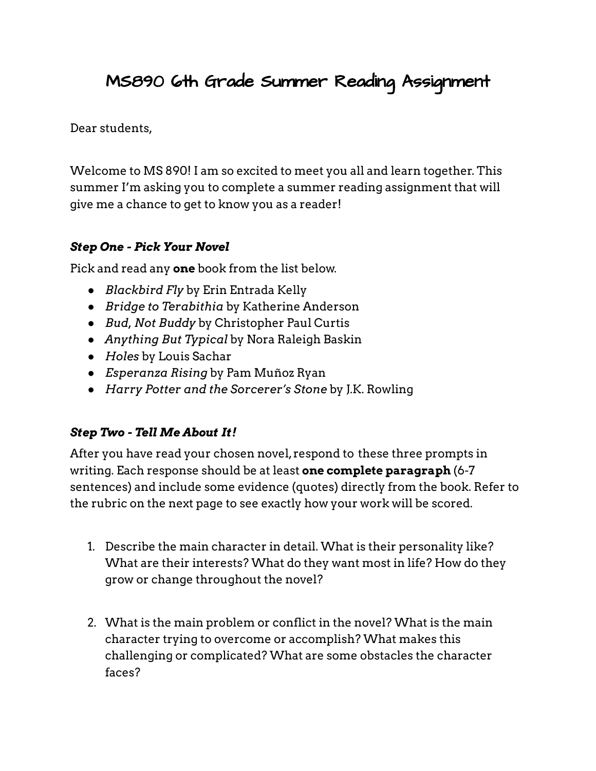## MS890 6th Grade Summer Reading Assignment

Dear students,

Welcome to MS 890! I am so excited to meet you all and learn together. This summer I'm asking you to complete a summer reading assignment that will give me a chance to get to know you as a reader!

## *Step One - Pick Your Novel*

Pick and read any **one** book from the list below.

- *● Blackbird Fly* by Erin Entrada Kelly
- *● Bridge to Terabithia* by Katherine Anderson
- *● Bud, Not Buddy* by Christopher Paul Curtis
- *● Anything But Typical* by Nora Raleigh Baskin
- *● Holes* by Louis Sachar
- *● Esperanza Rising* by Pam Muñoz Ryan
- *● Harry Potter and the Sorcerer's Stone* by J.K. Rowling

## *Step Two - Tell Me About It!*

After you have read your chosen novel, respond to these three prompts in writing. Each response should be at least **one complete paragraph** (6-7 sentences) and include some evidence (quotes) directly from the book. Refer to the rubric on the next page to see exactly how your work will be scored.

- 1. Describe the main character in detail. What is their personality like? What are their interests? What do they want most in life? How do they grow or change throughout the novel?
- 2. What is the main problem or conflict in the novel? What is the main character trying to overcome or accomplish? What makes this challenging or complicated? What are some obstacles the character faces?